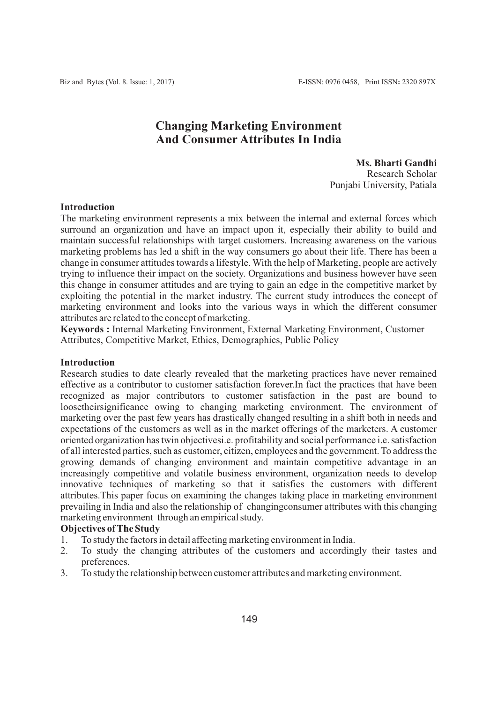## **Changing Marketing Environment And Consumer Attributes In India**

 **Ms. Bharti Gandhi** Research Scholar Punjabi University, Patiala

#### **Introduction**

The marketing environment represents a mix between the internal and external forces which surround an organization and have an impact upon it, especially their ability to build and maintain successful relationships with target customers. Increasing awareness on the various marketing problems has led a shift in the way consumers go about their life. There has been a change in consumer attitudes towards a lifestyle. With the help of Marketing, people are actively trying to influence their impact on the society. Organizations and business however have seen this change in consumer attitudes and are trying to gain an edge in the competitive market by exploiting the potential in the market industry. The current study introduces the concept of marketing environment and looks into the various ways in which the different consumer attributes are related to the concept of marketing.

**Keywords :** Internal Marketing Environment, External Marketing Environment, Customer Attributes, Competitive Market, Ethics, Demographics, Public Policy

#### **Introduction**

Research studies to date clearly revealed that the marketing practices have never remained effective as a contributor to customer satisfaction forever.In fact the practices that have been recognized as major contributors to customer satisfaction in the past are bound to loosetheirsignificance owing to changing marketing environment. The environment of marketing over the past few years has drastically changed resulting in a shift both in needs and expectations of the customers as well as in the market offerings of the marketers. A customer oriented organization has twin objectivesi.e. profitability and social performance i.e. satisfaction of all interested parties, such as customer, citizen, employees and the government. To address the growing demands of changing environment and maintain competitive advantage in an increasingly competitive and volatile business environment, organization needs to develop innovative techniques of marketing so that it satisfies the customers with different attributes.This paper focus on examining the changes taking place in marketing environment prevailing in India and also the relationship of changingconsumer attributes with this changing marketing environment through an empirical study.

#### **Objectives of The Study**

- 1. To study the factors in detail affecting marketing environment in India.
- 2. To study the changing attributes of the customers and accordingly their tastes and preferences.
- 3. To study the relationship between customer attributes and marketing environment.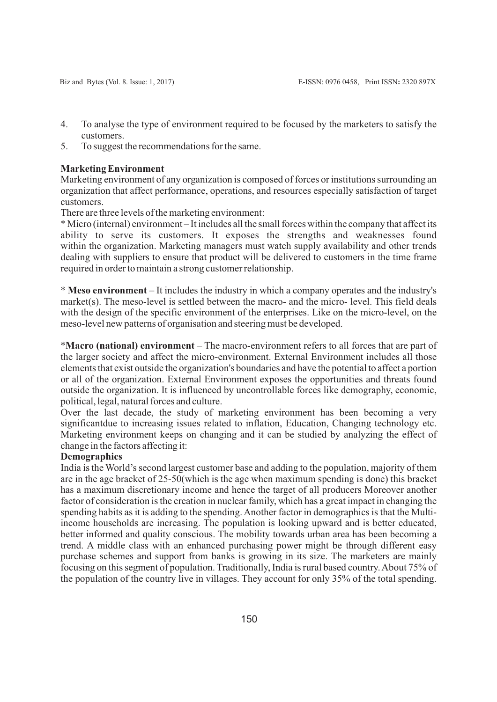- 4. To analyse the type of environment required to be focused by the marketers to satisfy the customers.
- 5. To suggest the recommendations for the same.

#### **Marketing Environment**

Marketing environment of any organization is composed of forces or institutions surrounding an organization that affect performance, operations, and resources especially satisfaction of target customers.

There are three levels of the marketing environment:

\* Micro (internal) environment – It includes all the small forces within the company that affect its ability to serve its customers. It exposes the strengths and weaknesses found within the organization. Marketing managers must watch supply availability and other trends dealing with suppliers to ensure that product will be delivered to customers in the time frame required in order to maintain a strong customer relationship.

\* **Meso environment** – It includes the industry in which a company operates and the industry's market(s). The meso-level is settled between the macro- and the micro- level. This field deals with the design of the specific environment of the enterprises. Like on the micro-level, on the meso-level new patterns of organisation and steering must be developed.

\***Macro (national) environment** – The macro-environment refers to all forces that are part of the larger society and affect the micro-environment. External Environment includes all those elements that exist outside the organization's boundaries and have the potential to affect a portion or all of the organization. External Environment exposes the opportunities and threats found outside the organization. It is influenced by uncontrollable forces like demography, economic, political, legal, natural forces and culture.

Over the last decade, the study of marketing environment has been becoming a very significantdue to increasing issues related to inflation, Education, Changing technology etc. Marketing environment keeps on changing and it can be studied by analyzing the effect of change in the factors affecting it:

#### **Demographics**

India is the World's second largest customer base and adding to the population, majority of them are in the age bracket of 25-50(which is the age when maximum spending is done) this bracket has a maximum discretionary income and hence the target of all producers Moreover another factor of consideration is the creation in nuclear family, which has a great impact in changing the spending habits as it is adding to the spending. Another factor in demographics is that the Multiincome households are increasing. The population is looking upward and is better educated, better informed and quality conscious. The mobility towards urban area has been becoming a trend. A middle class with an enhanced purchasing power might be through different easy purchase schemes and support from banks is growing in its size. The marketers are mainly focusing on this segment of population. Traditionally, India is rural based country. About 75% of the population of the country live in villages. They account for only 35% of the total spending.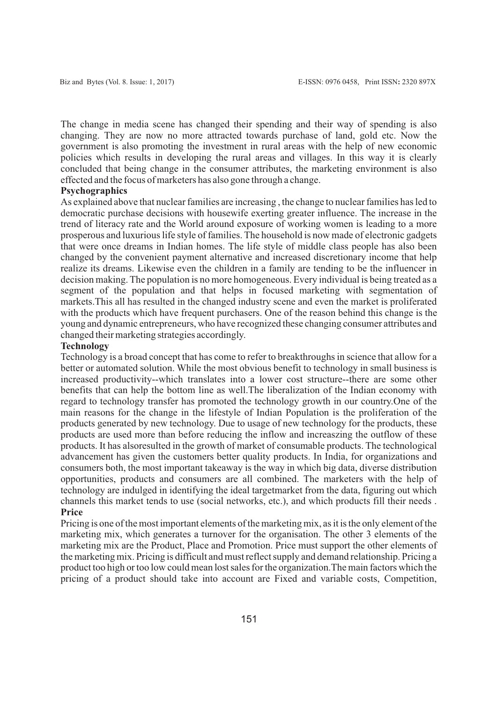The change in media scene has changed their spending and their way of spending is also changing. They are now no more attracted towards purchase of land, gold etc. Now the government is also promoting the investment in rural areas with the help of new economic policies which results in developing the rural areas and villages. In this way it is clearly concluded that being change in the consumer attributes, the marketing environment is also effected and the focus of marketers has also gone through a change.

### **Psychographics**

As explained above that nuclear families are increasing , the change to nuclear families has led to democratic purchase decisions with housewife exerting greater influence. The increase in the trend of literacy rate and the World around exposure of working women is leading to a more prosperous and luxurious life style of families. The household is now made of electronic gadgets that were once dreams in Indian homes. The life style of middle class people has also been changed by the convenient payment alternative and increased discretionary income that help realize its dreams. Likewise even the children in a family are tending to be the influencer in decision making. The population is no more homogeneous. Every individual is being treated as a segment of the population and that helps in focused marketing with segmentation of markets.This all has resulted in the changed industry scene and even the market is proliferated with the products which have frequent purchasers. One of the reason behind this change is the young and dynamic entrepreneurs, who have recognized these changing consumer attributes and changed their marketing strategies accordingly.

#### **Technology**

Technology is a broad concept that has come to refer to breakthroughs in science that allow for a better or automated solution. While the most obvious benefit to technology in small business is increased productivity--which translates into a lower cost structure--there are some other benefits that can help the bottom line as well.The liberalization of the Indian economy with regard to technology transfer has promoted the technology growth in our country.One of the main reasons for the change in the lifestyle of Indian Population is the proliferation of the products generated by new technology. Due to usage of new technology for the products, these products are used more than before reducing the inflow and increaszing the outflow of these products. It has alsoresulted in the growth of market of consumable products. The technological advancement has given the customers better quality products. In India, for organizations and consumers both, the most important takeaway is the way in which big data, diverse distribution opportunities, products and consumers are all combined. The marketers with the help of technology are indulged in identifying the ideal targetmarket from the data, figuring out which channels this market tends to use (social networks, etc.), and which products fill their needs . **Price**

Pricing is one of the most important elements of the marketing mix, as it is the only element of the marketing mix, which generates a turnover for the organisation. The other 3 elements of the marketing mix are the Product, Place and Promotion. Price must support the other elements of the marketing mix. Pricing is difficult and must reflect supply and demand relationship. Pricing a product too high or too low could mean lost sales for the organization.The main factors which the pricing of a product should take into account are Fixed and variable costs, Competition,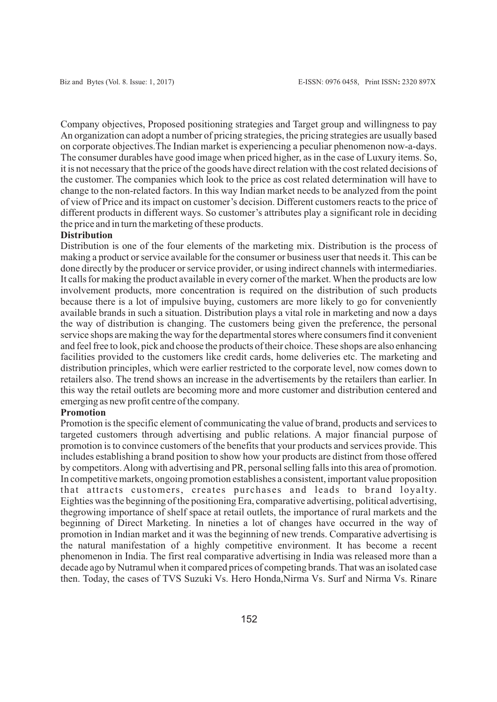Company objectives, Proposed positioning strategies and Target group and willingness to pay An organization can adopt a number of pricing strategies, the pricing strategies are usually based on corporate objectives.The Indian market is experiencing a peculiar phenomenon now-a-days. The consumer durables have good image when priced higher, as in the case of Luxury items. So, it is not necessary that the price of the goods have direct relation with the cost related decisions of the customer. The companies which look to the price as cost related determination will have to change to the non-related factors. In this way Indian market needs to be analyzed from the point of view of Price and its impact on customer's decision. Different customers reacts to the price of different products in different ways. So customer's attributes play a significant role in deciding the price and in turn the marketing of these products.

#### **Distribution**

Distribution is one of the four elements of the marketing mix. Distribution is the process of making a product or service available for the consumer or business user that needs it. This can be done directly by the producer or service provider, or using indirect channels with intermediaries. It calls for making the product available in every corner of the market. When the products are low involvement products, more concentration is required on the distribution of such products because there is a lot of impulsive buying, customers are more likely to go for conveniently available brands in such a situation. Distribution plays a vital role in marketing and now a days the way of distribution is changing. The customers being given the preference, the personal service shops are making the way for the departmental stores where consumers find it convenient and feel free to look, pick and choose the products of their choice. These shops are also enhancing facilities provided to the customers like credit cards, home deliveries etc. The marketing and distribution principles, which were earlier restricted to the corporate level, now comes down to retailers also. The trend shows an increase in the advertisements by the retailers than earlier. In this way the retail outlets are becoming more and more customer and distribution centered and emerging as new profit centre of the company.

#### **Promotion**

Promotion is the specific element of communicating the value of brand, products and services to targeted customers through advertising and public relations. A major financial purpose of promotion is to convince customers of the benefits that your products and services provide. This includes establishing a brand position to show how your products are distinct from those offered by competitors. Along with advertising and PR, personal selling falls into this area of promotion. In competitive markets, ongoing promotion establishes a consistent, important value proposition that attracts customers, creates purchases and leads to brand loyalty. Eighties was the beginning of the positioning Era, comparative advertising, political advertising, thegrowing importance of shelf space at retail outlets, the importance of rural markets and the beginning of Direct Marketing. In nineties a lot of changes have occurred in the way of promotion in Indian market and it was the beginning of new trends. Comparative advertising is the natural manifestation of a highly competitive environment. It has become a recent phenomenon in India. The first real comparative advertising in India was released more than a decade ago by Nutramul when it compared prices of competing brands. That was an isolated case then. Today, the cases of TVS Suzuki Vs. Hero Honda,Nirma Vs. Surf and Nirma Vs. Rinare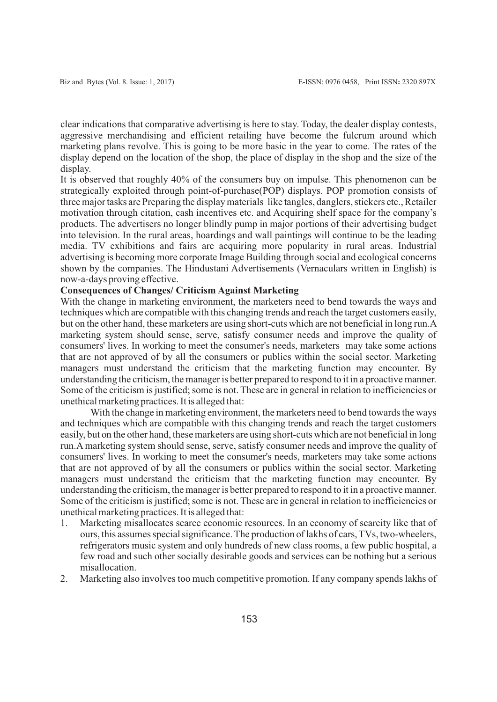clear indications that comparative advertising is here to stay. Today, the dealer display contests, aggressive merchandising and efficient retailing have become the fulcrum around which marketing plans revolve. This is going to be more basic in the year to come. The rates of the display depend on the location of the shop, the place of display in the shop and the size of the display.

It is observed that roughly 40% of the consumers buy on impulse. This phenomenon can be strategically exploited through point-of-purchase(POP) displays. POP promotion consists of three major tasks are Preparing the display materials like tangles, danglers, stickers etc., Retailer motivation through citation, cash incentives etc. and Acquiring shelf space for the company's products. The advertisers no longer blindly pump in major portions of their advertising budget into television. In the rural areas, hoardings and wall paintings will continue to be the leading media. TV exhibitions and fairs are acquiring more popularity in rural areas. Industrial advertising is becoming more corporate Image Building through social and ecological concerns shown by the companies. The Hindustani Advertisements (Vernaculars written in English) is now-a-days proving effective.

## **Consequences of Changes/ Criticism Against Marketing**

With the change in marketing environment, the marketers need to bend towards the ways and techniques which are compatible with this changing trends and reach the target customers easily, but on the other hand, these marketers are using short-cuts which are not beneficial in long run.A marketing system should sense, serve, satisfy consumer needs and improve the quality of consumers' lives. In working to meet the consumer's needs, marketers may take some actions that are not approved of by all the consumers or publics within the social sector. Marketing managers must understand the criticism that the marketing function may encounter. By understanding the criticism, the manager is better prepared to respond to it in a proactive manner. Some of the criticism is justified; some is not. These are in general in relation to inefficiencies or unethical marketing practices. It is alleged that:

With the change in marketing environment, the marketers need to bend towards the ways and techniques which are compatible with this changing trends and reach the target customers easily, but on the other hand, these marketers are using short-cuts which are not beneficial in long run.Amarketing system should sense, serve, satisfy consumer needs and improve the quality of consumers' lives. In working to meet the consumer's needs, marketers may take some actions that are not approved of by all the consumers or publics within the social sector. Marketing managers must understand the criticism that the marketing function may encounter. By understanding the criticism, the manager is better prepared to respond to it in a proactive manner. Some of the criticism is justified; some is not. These are in general in relation to inefficiencies or unethical marketing practices. It is alleged that:

- 1. Marketing misallocates scarce economic resources. In an economy of scarcity like that of ours, this assumes special significance. The production of lakhs of cars, TVs, two-wheelers, refrigerators music system and only hundreds of new class rooms, a few public hospital, a few road and such other socially desirable goods and services can be nothing but a serious misallocation.
- 2. Marketing also involves too much competitive promotion. If any company spends lakhs of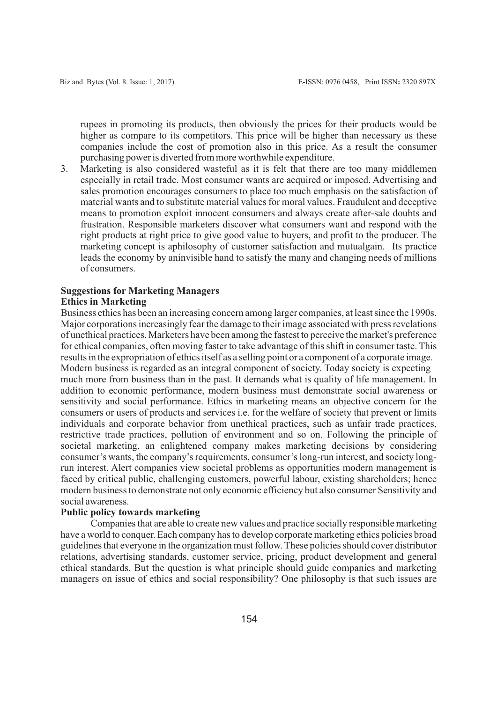rupees in promoting its products, then obviously the prices for their products would be higher as compare to its competitors. This price will be higher than necessary as these companies include the cost of promotion also in this price. As a result the consumer purchasing power is diverted from more worthwhile expenditure.

3. Marketing is also considered wasteful as it is felt that there are too many middlemen especially in retail trade. Most consumer wants are acquired or imposed. Advertising and sales promotion encourages consumers to place too much emphasis on the satisfaction of material wants and to substitute material values for moral values. Fraudulent and deceptive means to promotion exploit innocent consumers and always create after-sale doubts and frustration. Responsible marketers discover what consumers want and respond with the right products at right price to give good value to buyers, and profit to the producer. The marketing concept is aphilosophy of customer satisfaction and mutualgain. Its practice leads the economy by aninvisible hand to satisfy the many and changing needs of millions of consumers.

# **Suggestions for Marketing Managers**

## **Ethics in Marketing**

Business ethics has been an increasing concern among larger companies, at least since the 1990s. Major corporations increasingly fear the damage to their image associated with press revelations of unethical practices. Marketers have been among the fastest to perceive the market's preference for ethical companies, often moving faster to take advantage of this shift in consumer taste. This results in the expropriation of ethics itself as a selling point or a component of a corporate image. Modern business is regarded as an integral component of society. Today society is expecting much more from business than in the past. It demands what is quality of life management. In addition to economic performance, modern business must demonstrate social awareness or sensitivity and social performance. Ethics in marketing means an objective concern for the consumers or users of products and services i.e. for the welfare of society that prevent or limits individuals and corporate behavior from unethical practices, such as unfair trade practices, restrictive trade practices, pollution of environment and so on. Following the principle of societal marketing, an enlightened company makes marketing decisions by considering consumer's wants, the company's requirements, consumer's long-run interest, and society longrun interest. Alert companies view societal problems as opportunities modern management is faced by critical public, challenging customers, powerful labour, existing shareholders; hence modern business to demonstrate not only economic efficiency but also consumer Sensitivity and social awareness.

#### **Public policy towards marketing**

Companies that are able to create new values and practice socially responsible marketing have a world to conquer. Each company has to develop corporate marketing ethics policies broad guidelines that everyone in the organization must follow. These policies should cover distributor relations, advertising standards, customer service, pricing, product development and general ethical standards. But the question is what principle should guide companies and marketing managers on issue of ethics and social responsibility? One philosophy is that such issues are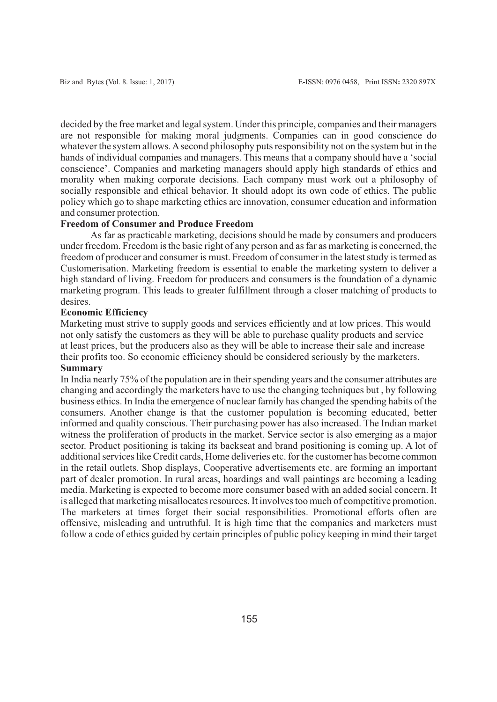decided by the free market and legal system. Under this principle, companies and their managers are not responsible for making moral judgments. Companies can in good conscience do whatever the system allows. Asecond philosophy puts responsibility not on the system but in the hands of individual companies and managers. This means that a company should have a 'social conscience'. Companies and marketing managers should apply high standards of ethics and morality when making corporate decisions. Each company must work out a philosophy of socially responsible and ethical behavior. It should adopt its own code of ethics. The public policy which go to shape marketing ethics are innovation, consumer education and information and consumer protection.

#### **Freedom of Consumer and Produce Freedom**

As far as practicable marketing, decisions should be made by consumers and producers under freedom. Freedom is the basic right of any person and as far as marketing is concerned, the freedom of producer and consumer is must. Freedom of consumer in the latest study is termed as Customerisation. Marketing freedom is essential to enable the marketing system to deliver a high standard of living. Freedom for producers and consumers is the foundation of a dynamic marketing program. This leads to greater fulfillment through a closer matching of products to desires.

#### **Economic Efficiency**

Marketing must strive to supply goods and services efficiently and at low prices. This would not only satisfy the customers as they will be able to purchase quality products and service at least prices, but the producers also as they will be able to increase their sale and increase their profits too. So economic efficiency should be considered seriously by the marketers. **Summary**

In India nearly 75% of the population are in their spending years and the consumer attributes are changing and accordingly the marketers have to use the changing techniques but , by following business ethics. In India the emergence of nuclear family has changed the spending habits of the consumers. Another change is that the customer population is becoming educated, better informed and quality conscious. Their purchasing power has also increased. The Indian market witness the proliferation of products in the market. Service sector is also emerging as a major sector. Product positioning is taking its backseat and brand positioning is coming up. A lot of additional services like Credit cards, Home deliveries etc. for the customer has become common in the retail outlets. Shop displays, Cooperative advertisements etc. are forming an important part of dealer promotion. In rural areas, hoardings and wall paintings are becoming a leading media. Marketing is expected to become more consumer based with an added social concern. It is alleged that marketing misallocates resources. It involves too much of competitive promotion. The marketers at times forget their social responsibilities. Promotional efforts often are offensive, misleading and untruthful. It is high time that the companies and marketers must follow a code of ethics guided by certain principles of public policy keeping in mind their target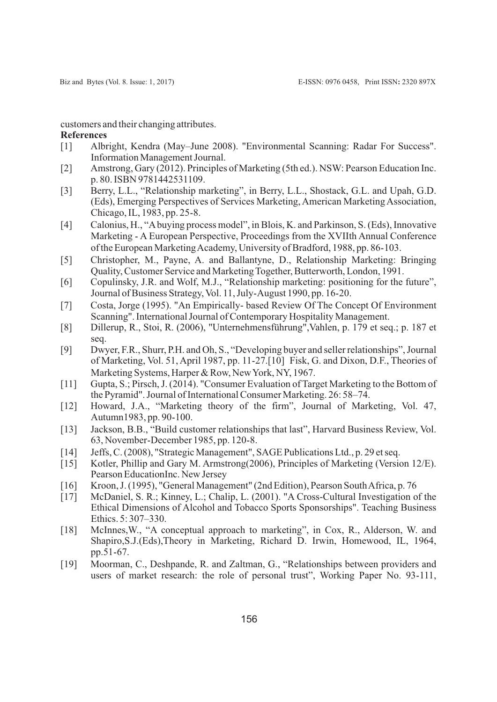customers and their changing attributes.

#### **References**

- [1] Albright, Kendra (May–June 2008). "Environmental Scanning: Radar For Success". Information Management Journal.
- [2] Amstrong, Gary (2012). Principles of Marketing (5th ed.). NSW: Pearson Education Inc. p. 80. ISBN 9781442531109.
- [3] Berry, L.L., "Relationship marketing", in Berry, L.L., Shostack, G.L. and Upah, G.D. (Eds), Emerging Perspectives of Services Marketing, American Marketing Association, Chicago, IL, 1983, pp. 25-8.
- [4] Calonius, H., "Abuying process model", in Blois, K. and Parkinson, S. (Eds), Innovative Marketing - A European Perspective, Proceedings from the XVIIth Annual Conference of the European Marketing Academy, University of Bradford, 1988, pp. 86-103.
- [5] Christopher, M., Payne, A. and Ballantyne, D., Relationship Marketing: Bringing Quality, Customer Service and Marketing Together, Butterworth, London, 1991.
- [6] Copulinsky, J.R. and Wolf, M.J., "Relationship marketing: positioning for the future", Journal of Business Strategy, Vol. 11, July-August 1990, pp. 16-20.
- [7] Costa, Jorge (1995). "An Empirically- based Review Of The Concept Of Environment Scanning". International Journal of Contemporary Hospitality Management.
- [8] Dillerup, R., Stoi, R. (2006), "Unternehmensführung",Vahlen, p. 179 et seq.; p. 187 et seq.
- [9] Dwyer, F.R., Shurr, P.H. and Oh, S., "Developing buyer and seller relationships", Journal of Marketing, Vol. 51, April 1987, pp. 11-27.[10] Fisk, G. and Dixon, D.F., Theories of Marketing Systems, Harper & Row, New York, NY, 1967.
- [11] Gupta, S.; Pirsch, J. (2014). "Consumer Evaluation of Target Marketing to the Bottom of the Pyramid". Journal of International Consumer Marketing. 26: 58–74.
- [12] Howard, J.A., "Marketing theory of the firm", Journal of Marketing, Vol. 47, Autumn1983, pp. 90-100.
- [13] Jackson, B.B., "Build customer relationships that last", Harvard Business Review, Vol. 63, November-December 1985, pp. 120-8.
- [14] Jeffs, C. (2008), "Strategic Management", SAGE Publications Ltd., p. 29 et seq.
- [15] Kotler, Phillip and Gary M. Armstrong(2006), Principles of Marketing (Version 12/E). Pearson EducationInc. New Jersey
- [16] Kroon, J. (1995), "General Management" (2nd Edition), Pearson South Africa, p. 76
- [17] McDaniel, S. R.; Kinney, L.; Chalip, L. (2001). "A Cross-Cultural Investigation of the Ethical Dimensions of Alcohol and Tobacco Sports Sponsorships". Teaching Business Ethics. 5: 307–330.
- [18] McInnes, W., "A conceptual approach to marketing", in Cox, R., Alderson, W. and Shapiro,S.J.(Eds),Theory in Marketing, Richard D. Irwin, Homewood, IL, 1964, pp.51-67.
- [19] Moorman, C., Deshpande, R. and Zaltman, G., "Relationships between providers and users of market research: the role of personal trust", Working Paper No. 93-111,